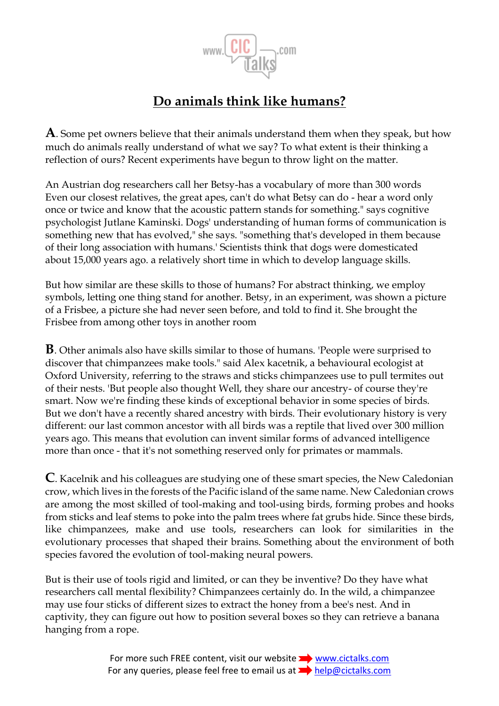

## **Do animals think like humans?**

**A**. Some pet owners believe that their animals understand them when they speak, but how much do animals really understand of what we say? To what extent is their thinking a reflection of ours? Recent experiments have begun to throw light on the matter.

An Austrian dog researchers call her Betsy-has a vocabulary of more than 300 words Even our closest relatives, the great apes, can't do what Betsy can do - hear a word only once or twice and know that the acoustic pattern stands for something." says cognitive psychologist Jutlane Kaminski. Dogs' understanding of human forms of communication is something new that has evolved," she says. "something that's developed in them because of their long association with humans.' Scientists think that dogs were domesticated about 15,000 years ago. a relatively short time in which to develop language skills.

But how similar are these skills to those of humans? For abstract thinking, we employ symbols, letting one thing stand for another. Betsy, in an experiment, was shown a picture of a Frisbee, a picture she had never seen before, and told to find it. She brought the Frisbee from among other toys in another room

**B**. Other animals also have skills similar to those of humans. 'People were surprised to discover that chimpanzees make tools." said Alex kacetnik, a behavioural ecologist at Oxford University, referring to the straws and sticks chimpanzees use to pull termites out of their nests. 'But people also thought Well, they share our ancestry- of course they're smart. Now we're finding these kinds of exceptional behavior in some species of birds. But we don't have a recently shared ancestry with birds. Their evolutionary history is very different: our last common ancestor with all birds was a reptile that lived over 300 million years ago. This means that evolution can invent similar forms of advanced intelligence more than once - that it's not something reserved only for primates or mammals.

**C**. Kacelnik and his colleagues are studying one of these smart species, the New Caledonian crow, which lives in the forests of the Pacific island of the same name. New Caledonian crows are among the most skilled of tool-making and tool-using birds, forming probes and hooks from sticks and leaf stems to poke into the palm trees where fat grubs hide. Since these birds, like chimpanzees, make and use tools, researchers can look for similarities in the evolutionary processes that shaped their brains. Something about the environment of both species favored the evolution of tool-making neural powers.

But is their use of tools rigid and limited, or can they be inventive? Do they have what researchers call mental flexibility? Chimpanzees certainly do. In the wild, a chimpanzee may use four sticks of different sizes to extract the honey from a bee's nest. And in captivity, they can figure out how to position several boxes so they can retrieve a banana hanging from a rope.